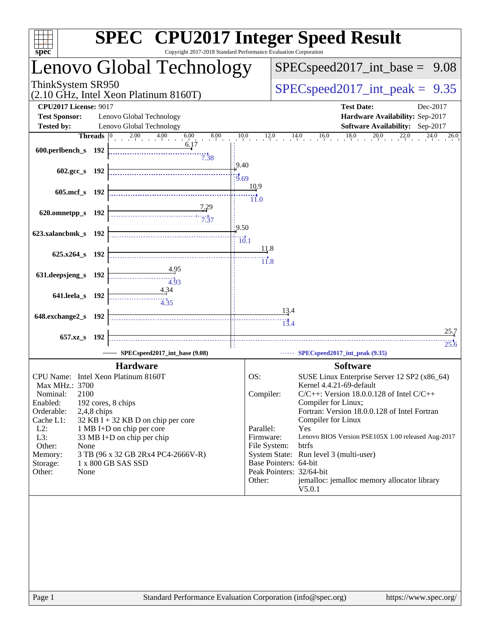| spec <sup>®</sup>                                                                                                                                                                                                                                                                                                                                                                                                     | <b>SPEC<sup>®</sup></b> CPU2017 Integer Speed Result<br>Copyright 2017-2018 Standard Performance Evaluation Corporation |                                                                                                                           |                                                                                                                                                                                                                                                                                                                                                                                                                    |          |
|-----------------------------------------------------------------------------------------------------------------------------------------------------------------------------------------------------------------------------------------------------------------------------------------------------------------------------------------------------------------------------------------------------------------------|-------------------------------------------------------------------------------------------------------------------------|---------------------------------------------------------------------------------------------------------------------------|--------------------------------------------------------------------------------------------------------------------------------------------------------------------------------------------------------------------------------------------------------------------------------------------------------------------------------------------------------------------------------------------------------------------|----------|
| Lenovo Global Technology                                                                                                                                                                                                                                                                                                                                                                                              |                                                                                                                         |                                                                                                                           | $SPEC speed2017\_int\_base = 9.08$                                                                                                                                                                                                                                                                                                                                                                                 |          |
| ThinkSystem SR950<br>(2.10 GHz, Intel Xeon Platinum 8160T)                                                                                                                                                                                                                                                                                                                                                            |                                                                                                                         |                                                                                                                           | $SPEC speed2017\_int\_peak =$                                                                                                                                                                                                                                                                                                                                                                                      | 9.35     |
| <b>CPU2017 License: 9017</b><br><b>Test Sponsor:</b><br>Lenovo Global Technology                                                                                                                                                                                                                                                                                                                                      |                                                                                                                         |                                                                                                                           | <b>Test Date:</b><br>Hardware Availability: Sep-2017                                                                                                                                                                                                                                                                                                                                                               | Dec-2017 |
| Lenovo Global Technology<br><b>Tested by:</b>                                                                                                                                                                                                                                                                                                                                                                         |                                                                                                                         |                                                                                                                           | Software Availability: Sep-2017                                                                                                                                                                                                                                                                                                                                                                                    |          |
| <b>Threads</b><br>600.perlbench_s 192                                                                                                                                                                                                                                                                                                                                                                                 | 2.00 4.00 6.00 8.00<br>6.17<br>$7.\overline{38}$                                                                        |                                                                                                                           | $10.0$ $12.0$ $14.0$ $16.0$ $18.0$ $20.0$ $22.0$ $24.0$ $26.0$                                                                                                                                                                                                                                                                                                                                                     |          |
| 602.gcc_s 192                                                                                                                                                                                                                                                                                                                                                                                                         | .9.40<br>19.69                                                                                                          |                                                                                                                           |                                                                                                                                                                                                                                                                                                                                                                                                                    |          |
| 605.mcf_s 192                                                                                                                                                                                                                                                                                                                                                                                                         |                                                                                                                         | 10.9<br>$\overline{11.0}$                                                                                                 |                                                                                                                                                                                                                                                                                                                                                                                                                    |          |
| 620.omnetpp_s 192                                                                                                                                                                                                                                                                                                                                                                                                     | 7.29<br>7.37                                                                                                            |                                                                                                                           |                                                                                                                                                                                                                                                                                                                                                                                                                    |          |
| 623.xalancbmk_s 192                                                                                                                                                                                                                                                                                                                                                                                                   | 9.50<br>10.1                                                                                                            |                                                                                                                           |                                                                                                                                                                                                                                                                                                                                                                                                                    |          |
| 625.x264_s 192                                                                                                                                                                                                                                                                                                                                                                                                        |                                                                                                                         | <u>11.8</u><br>11.8                                                                                                       |                                                                                                                                                                                                                                                                                                                                                                                                                    |          |
| 631.deepsjeng_s<br>192                                                                                                                                                                                                                                                                                                                                                                                                | 4.95<br>4.93<br>4.34                                                                                                    |                                                                                                                           |                                                                                                                                                                                                                                                                                                                                                                                                                    |          |
| 641.leela_s 192                                                                                                                                                                                                                                                                                                                                                                                                       |                                                                                                                         | 13.4                                                                                                                      |                                                                                                                                                                                                                                                                                                                                                                                                                    |          |
| 648.exchange2_s 192                                                                                                                                                                                                                                                                                                                                                                                                   |                                                                                                                         | 13.4                                                                                                                      |                                                                                                                                                                                                                                                                                                                                                                                                                    | 25.7     |
| 657.xz_s 192                                                                                                                                                                                                                                                                                                                                                                                                          | SPECspeed2017 int base (9.08)                                                                                           |                                                                                                                           | SPECspeed2017_int_peak (9.35)                                                                                                                                                                                                                                                                                                                                                                                      | 25.6     |
|                                                                                                                                                                                                                                                                                                                                                                                                                       |                                                                                                                         |                                                                                                                           |                                                                                                                                                                                                                                                                                                                                                                                                                    |          |
| <b>Hardware</b><br>CPU Name: Intel Xeon Platinum 8160T<br>Max MHz.: 3700<br>2100<br>Nominal:<br>Enabled:<br>192 cores, 8 chips<br>Orderable:<br>$2,4,8$ chips<br>Cache L1:<br>$32$ KB I + 32 KB D on chip per core<br>$L2$ :<br>1 MB I+D on chip per core<br>L3:<br>33 MB I+D on chip per chip<br>Other:<br>None<br>Memory:<br>3 TB (96 x 32 GB 2Rx4 PC4-2666V-R)<br>Storage:<br>1 x 800 GB SAS SSD<br>Other:<br>None |                                                                                                                         | OS:<br>Compiler:<br>Parallel:<br>Firmware:<br>File System:<br>Base Pointers: 64-bit<br>Peak Pointers: 32/64-bit<br>Other: | <b>Software</b><br>SUSE Linux Enterprise Server 12 SP2 (x86_64)<br>Kernel 4.4.21-69-default<br>$C/C++$ : Version 18.0.0.128 of Intel $C/C++$<br>Compiler for Linux;<br>Fortran: Version 18.0.0.128 of Intel Fortran<br>Compiler for Linux<br>Yes<br>Lenovo BIOS Version PSE105X 1.00 released Aug-2017<br>btrfs<br>System State: Run level 3 (multi-user)<br>jemalloc: jemalloc memory allocator library<br>V5.0.1 |          |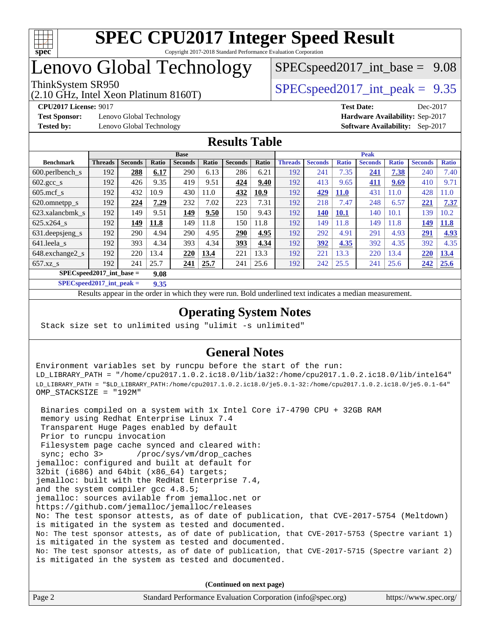

## Lenovo Global Technology

(2.10 GHz, Intel Xeon Platinum 8160T)

ThinkSystem SR950<br>  $SPECspeed2017$  int\_peak = 9.35  $SPECspeed2017\_int\_base = 9.08$ 

**[Test Sponsor:](http://www.spec.org/auto/cpu2017/Docs/result-fields.html#TestSponsor)** Lenovo Global Technology **[Hardware Availability:](http://www.spec.org/auto/cpu2017/Docs/result-fields.html#HardwareAvailability)** Sep-2017 **[Tested by:](http://www.spec.org/auto/cpu2017/Docs/result-fields.html#Testedby)** Lenovo Global Technology **[Software Availability:](http://www.spec.org/auto/cpu2017/Docs/result-fields.html#SoftwareAvailability)** Sep-2017

**[CPU2017 License:](http://www.spec.org/auto/cpu2017/Docs/result-fields.html#CPU2017License)** 9017 **[Test Date:](http://www.spec.org/auto/cpu2017/Docs/result-fields.html#TestDate)** Dec-2017

## **[Results Table](http://www.spec.org/auto/cpu2017/Docs/result-fields.html#ResultsTable)**

|                                     | <b>Base</b>    |                |       |                |       | <b>Peak</b>    |       |                |                |              |                |              |                |              |
|-------------------------------------|----------------|----------------|-------|----------------|-------|----------------|-------|----------------|----------------|--------------|----------------|--------------|----------------|--------------|
| <b>Benchmark</b>                    | <b>Threads</b> | <b>Seconds</b> | Ratio | <b>Seconds</b> | Ratio | <b>Seconds</b> | Ratio | <b>Threads</b> | <b>Seconds</b> | <b>Ratio</b> | <b>Seconds</b> | <b>Ratio</b> | <b>Seconds</b> | <b>Ratio</b> |
| $600.$ perlbench $\mathsf{S}$       | 192            | 288            | 6.17  | 290            | 6.13  | 286            | 6.21  | 192            | 241            | 7.35         | 241            | 7.38         | 240            | 7.40         |
| $602.\text{gcc}\_\text{s}$          | 192            | 426            | 9.35  | 419            | 9.51  | 424            | 9.40  | 192            | 413            | 9.65         | 411            | 9.69         | 410            | 9.71         |
| $605$ .mcf s                        | 192            | 432            | 10.9  | 430            | 11.0  | 432            | 10.9  | 192            | 429            | <b>11.0</b>  | 431            | 11.0         | 428            | 11.0         |
| 620.omnetpp_s                       | 192            | 224            | 7.29  | 232            | 7.02  | 223            | 7.31  | 192            | 218            | 7.47         | 248            | 6.57         | 221            | 7.37         |
| 623.xalancbmk s                     | 192            | 149            | 9.51  | 149            | 9.50  | 150            | 9.43  | 192            | 140            | <b>10.1</b>  | 140            | 10.1         | 139            | 10.2         |
| 625.x264 s                          | 192            | 149            | 11.8  | 149            | 11.8  | 150            | 11.8  | 192            | 149            | 11.8         | 149            | 11.8         | 149            | 11.8         |
| 631.deepsjeng_s                     | 192            | 290            | 4.94  | 290            | 4.95  | 290            | 4.95  | 192            | 292            | 4.91         | 291            | 4.93         | 291            | 4.93         |
| 641.leela s                         | 192            | 393            | 4.34  | 393            | 4.34  | 393            | 4.34  | 192            | 392            | 4.35         | 392            | 4.35         | 392            | 4.35         |
| 648.exchange2 s                     | 192            | 220            | 13.4  | 220            | 13.4  | 221            | 13.3  | 192            | 221            | 13.3         | 220            | 13.4         | 220            | 13.4         |
| $657.xz$ <sub>S</sub>               | 192            | 241            | 25.7  | 241            | 25.7  | 241            | 25.6  | 192            | 242            | 25.5         | 241            | 25.6         | 242            | 25.6         |
| $SPEC speed2017$ int base =<br>9.08 |                |                |       |                |       |                |       |                |                |              |                |              |                |              |

**[SPECspeed2017\\_int\\_peak =](http://www.spec.org/auto/cpu2017/Docs/result-fields.html#SPECspeed2017intpeak) 9.35**

Results appear in the [order in which they were run.](http://www.spec.org/auto/cpu2017/Docs/result-fields.html#RunOrder) Bold underlined text [indicates a median measurement](http://www.spec.org/auto/cpu2017/Docs/result-fields.html#Median).

## **[Operating System Notes](http://www.spec.org/auto/cpu2017/Docs/result-fields.html#OperatingSystemNotes)**

Stack size set to unlimited using "ulimit -s unlimited"

## **[General Notes](http://www.spec.org/auto/cpu2017/Docs/result-fields.html#GeneralNotes)**

Environment variables set by runcpu before the start of the run: LD\_LIBRARY\_PATH = "/home/cpu2017.1.0.2.ic18.0/lib/ia32:/home/cpu2017.1.0.2.ic18.0/lib/intel64" LD\_LIBRARY\_PATH = "\$LD\_LIBRARY\_PATH:/home/cpu2017.1.0.2.ic18.0/je5.0.1-32:/home/cpu2017.1.0.2.ic18.0/je5.0.1-64" OMP\_STACKSIZE = "192M"

 Binaries compiled on a system with 1x Intel Core i7-4790 CPU + 32GB RAM memory using Redhat Enterprise Linux 7.4 Transparent Huge Pages enabled by default Prior to runcpu invocation Filesystem page cache synced and cleared with: sync; echo 3> /proc/sys/vm/drop\_caches jemalloc: configured and built at default for 32bit (i686) and 64bit (x86\_64) targets; jemalloc: built with the RedHat Enterprise 7.4, and the system compiler gcc 4.8.5; jemalloc: sources avilable from jemalloc.net or <https://github.com/jemalloc/jemalloc/releases> No: The test sponsor attests, as of date of publication, that CVE-2017-5754 (Meltdown) is mitigated in the system as tested and documented. No: The test sponsor attests, as of date of publication, that CVE-2017-5753 (Spectre variant 1) is mitigated in the system as tested and documented. No: The test sponsor attests, as of date of publication, that CVE-2017-5715 (Spectre variant 2) is mitigated in the system as tested and documented.

**(Continued on next page)**

| Page 2 | Standard Performance Evaluation Corporation (info@spec.org) | https://www.spec.org/ |
|--------|-------------------------------------------------------------|-----------------------|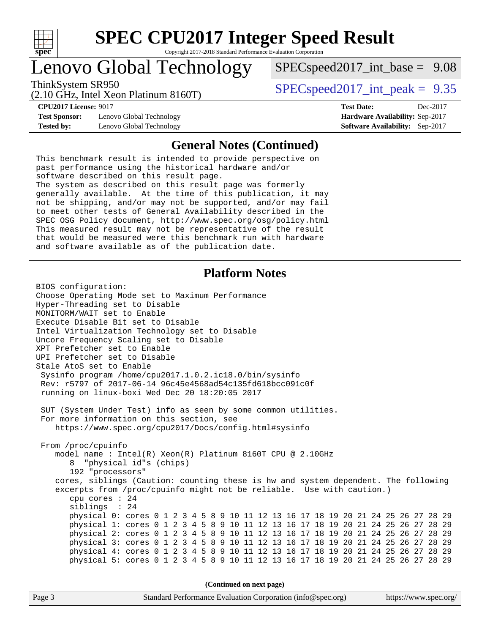

## Lenovo Global Technology

ThinkSystem SR950<br>  $SPECspeed2017$  int\_peak = 9.35

 $SPECspeed2017\_int\_base = 9.08$ 

(2.10 GHz, Intel Xeon Platinum 8160T)

**[Test Sponsor:](http://www.spec.org/auto/cpu2017/Docs/result-fields.html#TestSponsor)** Lenovo Global Technology **[Hardware Availability:](http://www.spec.org/auto/cpu2017/Docs/result-fields.html#HardwareAvailability)** Sep-2017 **[Tested by:](http://www.spec.org/auto/cpu2017/Docs/result-fields.html#Testedby)** Lenovo Global Technology **[Software Availability:](http://www.spec.org/auto/cpu2017/Docs/result-fields.html#SoftwareAvailability)** Sep-2017

**[CPU2017 License:](http://www.spec.org/auto/cpu2017/Docs/result-fields.html#CPU2017License)** 9017 **[Test Date:](http://www.spec.org/auto/cpu2017/Docs/result-fields.html#TestDate)** Dec-2017

#### **[General Notes \(Continued\)](http://www.spec.org/auto/cpu2017/Docs/result-fields.html#GeneralNotes)**

This benchmark result is intended to provide perspective on past performance using the historical hardware and/or software described on this result page. The system as described on this result page was formerly generally available. At the time of this publication, it may not be shipping, and/or may not be supported, and/or may fail to meet other tests of General Availability described in the SPEC OSG Policy document, <http://www.spec.org/osg/policy.html> This measured result may not be representative of the result that would be measured were this benchmark run with hardware and software available as of the publication date.

### **[Platform Notes](http://www.spec.org/auto/cpu2017/Docs/result-fields.html#PlatformNotes)**

BIOS configuration: Choose Operating Mode set to Maximum Performance Hyper-Threading set to Disable MONITORM/WAIT set to Enable Execute Disable Bit set to Disable Intel Virtualization Technology set to Disable Uncore Frequency Scaling set to Disable XPT Prefetcher set to Enable UPI Prefetcher set to Disable Stale AtoS set to Enable Sysinfo program /home/cpu2017.1.0.2.ic18.0/bin/sysinfo Rev: r5797 of 2017-06-14 96c45e4568ad54c135fd618bcc091c0f running on linux-boxi Wed Dec 20 18:20:05 2017 SUT (System Under Test) info as seen by some common utilities. For more information on this section, see <https://www.spec.org/cpu2017/Docs/config.html#sysinfo> From /proc/cpuinfo model name : Intel(R) Xeon(R) Platinum 8160T CPU @ 2.10GHz 8 "physical id"s (chips) 192 "processors" cores, siblings (Caution: counting these is hw and system dependent. The following excerpts from /proc/cpuinfo might not be reliable. Use with caution.) cpu cores : 24 siblings : 24 physical 0: cores 0 1 2 3 4 5 8 9 10 11 12 13 16 17 18 19 20 21 24 25 26 27 28 29 physical 1: cores 0 1 2 3 4 5 8 9 10 11 12 13 16 17 18 19 20 21 24 25 26 27 28 29 physical 2: cores 0 1 2 3 4 5 8 9 10 11 12 13 16 17 18 19 20 21 24 25 26 27 28 29 physical 3: cores 0 1 2 3 4 5 8 9 10 11 12 13 16 17 18 19 20 21 24 25 26 27 28 29 physical 4: cores 0 1 2 3 4 5 8 9 10 11 12 13 16 17 18 19 20 21 24 25 26 27 28 29 physical 5: cores 0 1 2 3 4 5 8 9 10 11 12 13 16 17 18 19 20 21 24 25 26 27 28 29

**(Continued on next page)**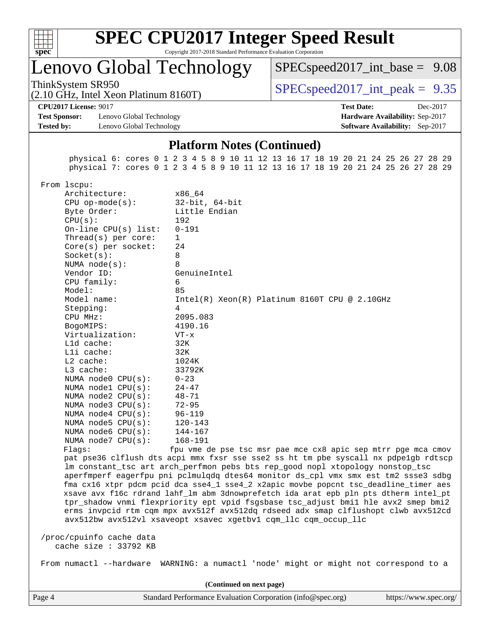

## Lenovo Global Technology

 $SPECspeed2017\_int\_base = 9.08$ 

(2.10 GHz, Intel Xeon Platinum 8160T)

ThinkSystem SR950<br>  $SPECspeed2017$  int\_peak = 9.35

**[CPU2017 License:](http://www.spec.org/auto/cpu2017/Docs/result-fields.html#CPU2017License)** 9017 **[Test Date:](http://www.spec.org/auto/cpu2017/Docs/result-fields.html#TestDate)** Dec-2017

**[Test Sponsor:](http://www.spec.org/auto/cpu2017/Docs/result-fields.html#TestSponsor)** Lenovo Global Technology **[Hardware Availability:](http://www.spec.org/auto/cpu2017/Docs/result-fields.html#HardwareAvailability)** Sep-2017 **[Tested by:](http://www.spec.org/auto/cpu2017/Docs/result-fields.html#Testedby)** Lenovo Global Technology **[Software Availability:](http://www.spec.org/auto/cpu2017/Docs/result-fields.html#SoftwareAvailability)** Sep-2017

#### **[Platform Notes \(Continued\)](http://www.spec.org/auto/cpu2017/Docs/result-fields.html#PlatformNotes)**

 physical 6: cores 0 1 2 3 4 5 8 9 10 11 12 13 16 17 18 19 20 21 24 25 26 27 28 29 physical 7: cores 0 1 2 3 4 5 8 9 10 11 12 13 16 17 18 19 20 21 24 25 26 27 28 29

From lscpu:

Architecture: x86\_64 CPU op-mode(s): 32-bit, 64-bit Byte Order: Little Endian CPU(s): 192 On-line CPU(s) list: 0-191 Thread(s) per core: 1 Core(s) per socket: 24 Socket(s): 8 NUMA node(s): 8 Vendor ID: GenuineIntel CPU family: 6 Model: 85 Model name: Intel(R) Xeon(R) Platinum 8160T CPU @ 2.10GHz Stepping: 4 CPU MHz: 2095.083 BogoMIPS: 4190.16 Virtualization: VT-x L1d cache: 32K L1i cache: 32K L2 cache: 1024K L3 cache: 33792K NUMA node0 CPU(s): 0-23 NUMA node1 CPU(s): 24-47 NUMA node2 CPU(s): 48-71 NUMA node3 CPU(s): 72-95 NUMA node4 CPU(s): 96-119 NUMA node5 CPU(s): 120-143 NUMA node6 CPU(s): 144-167 NUMA node7 CPU(s): 168-191 Flags: fpu vme de pse tsc msr pae mce cx8 apic sep mtrr pge mca cmov pat pse36 clflush dts acpi mmx fxsr sse sse2 ss ht tm pbe syscall nx pdpe1gb rdtscp lm constant\_tsc art arch\_perfmon pebs bts rep\_good nopl xtopology nonstop\_tsc aperfmperf eagerfpu pni pclmulqdq dtes64 monitor ds\_cpl vmx smx est tm2 ssse3 sdbg fma cx16 xtpr pdcm pcid dca sse4\_1 sse4\_2 x2apic movbe popcnt tsc\_deadline\_timer aes xsave avx f16c rdrand lahf\_lm abm 3dnowprefetch ida arat epb pln pts dtherm intel\_pt tpr\_shadow vnmi flexpriority ept vpid fsgsbase tsc\_adjust bmi1 hle avx2 smep bmi2 erms invpcid rtm cqm mpx avx512f avx512dq rdseed adx smap clflushopt clwb avx512cd avx512bw avx512vl xsaveopt xsavec xgetbv1 cqm\_llc cqm\_occup\_llc /proc/cpuinfo cache data

cache size : 33792 KB

From numactl --hardware WARNING: a numactl 'node' might or might not correspond to a

Page 4 Standard Performance Evaluation Corporation [\(info@spec.org\)](mailto:info@spec.org) <https://www.spec.org/> **(Continued on next page)**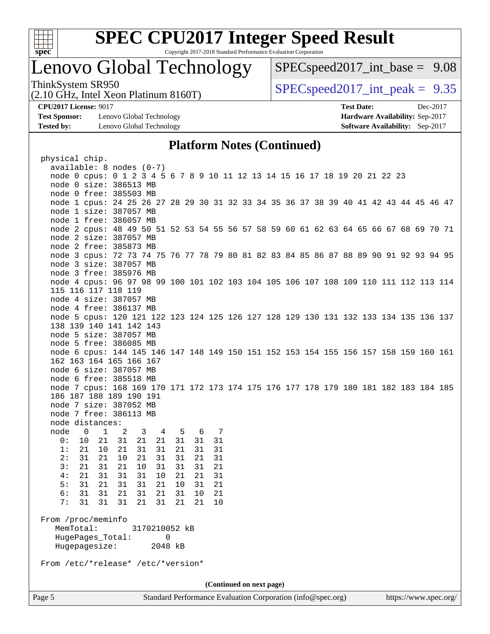

## Lenovo Global Technology

 $SPECspeed2017\_int\_base = 9.08$ 

(2.10 GHz, Intel Xeon Platinum 8160T)

ThinkSystem SR950<br>  $SPECspeed2017$  int\_peak = 9.35

**[Test Sponsor:](http://www.spec.org/auto/cpu2017/Docs/result-fields.html#TestSponsor)** Lenovo Global Technology **[Hardware Availability:](http://www.spec.org/auto/cpu2017/Docs/result-fields.html#HardwareAvailability)** Sep-2017 **[Tested by:](http://www.spec.org/auto/cpu2017/Docs/result-fields.html#Testedby)** Lenovo Global Technology **[Software Availability:](http://www.spec.org/auto/cpu2017/Docs/result-fields.html#SoftwareAvailability)** Sep-2017

**[CPU2017 License:](http://www.spec.org/auto/cpu2017/Docs/result-fields.html#CPU2017License)** 9017 **[Test Date:](http://www.spec.org/auto/cpu2017/Docs/result-fields.html#TestDate)** Dec-2017

#### **[Platform Notes \(Continued\)](http://www.spec.org/auto/cpu2017/Docs/result-fields.html#PlatformNotes)**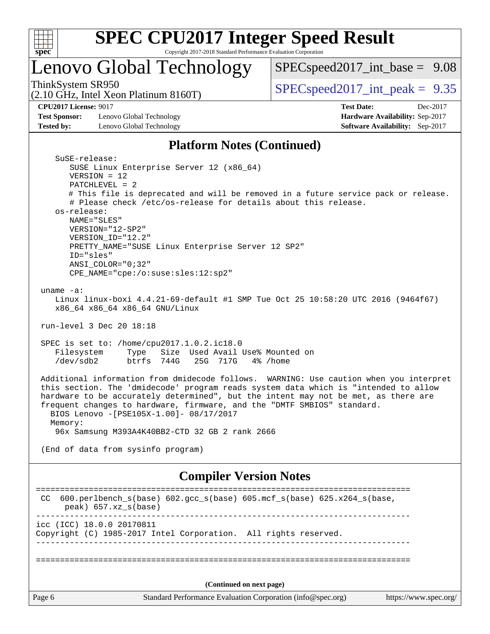

## Lenovo Global Technology

[SPECspeed2017\\_int\\_base =](http://www.spec.org/auto/cpu2017/Docs/result-fields.html#SPECspeed2017intbase) 9.08

(2.10 GHz, Intel Xeon Platinum 8160T)

ThinkSystem SR950<br>  $(2.10 \text{ GHz. Intel Yoon Plitium } 8160 \text{T})$   $SPEC speed2017\_int\_peak = 9.35$ 

**[CPU2017 License:](http://www.spec.org/auto/cpu2017/Docs/result-fields.html#CPU2017License)** 9017 **[Test Date:](http://www.spec.org/auto/cpu2017/Docs/result-fields.html#TestDate)** Dec-2017

**[Test Sponsor:](http://www.spec.org/auto/cpu2017/Docs/result-fields.html#TestSponsor)** Lenovo Global Technology **[Hardware Availability:](http://www.spec.org/auto/cpu2017/Docs/result-fields.html#HardwareAvailability)** Sep-2017 **[Tested by:](http://www.spec.org/auto/cpu2017/Docs/result-fields.html#Testedby)** Lenovo Global Technology **[Software Availability:](http://www.spec.org/auto/cpu2017/Docs/result-fields.html#SoftwareAvailability)** Sep-2017

#### **[Platform Notes \(Continued\)](http://www.spec.org/auto/cpu2017/Docs/result-fields.html#PlatformNotes)**

| SuSE-release:                                                                          |
|----------------------------------------------------------------------------------------|
| SUSE Linux Enterprise Server 12 (x86_64)                                               |
| $VERSION = 12$                                                                         |
| $PATCHLEVEL = 2$                                                                       |
| # This file is deprecated and will be removed in a future service pack or release.     |
| # Please check /etc/os-release for details about this release.                         |
| os-release:                                                                            |
| NAME="SLES"                                                                            |
| $VERSION = "12-SP2"$                                                                   |
| VERSION ID="12.2"                                                                      |
| PRETTY_NAME="SUSE Linux Enterprise Server 12 SP2"                                      |
| ID="sles"                                                                              |
| $ANSI$ _COLOR=" $0:32$ "                                                               |
| CPE_NAME="cpe:/o:suse:sles:12:sp2"                                                     |
|                                                                                        |
| uname $-a$ :                                                                           |
| Linux linux-boxi 4.4.21-69-default #1 SMP Tue Oct 25 10:58:20 UTC 2016 (9464f67)       |
| x86_64 x86_64 x86_64 GNU/Linux                                                         |
|                                                                                        |
| run-level 3 Dec 20 18:18                                                               |
|                                                                                        |
| SPEC is set to: /home/cpu2017.1.0.2.ic18.0                                             |
| Filesystem<br>Size Used Avail Use% Mounted on<br>Type                                  |
| $/\text{dev}/\text{sdb}$<br>btrfs 744G<br>25G 717G<br>4% /home                         |
|                                                                                        |
| Additional information from dmidecode follows. WARNING: Use caution when you interpret |
| this section. The 'dmidecode' program reads system data which is "intended to allow    |
| hardware to be accurately determined", but the intent may not be met, as there are     |
| frequent changes to hardware, firmware, and the "DMTF SMBIOS" standard.                |
| BIOS Lenovo -[PSE105X-1.00]- 08/17/2017                                                |
| Memory:                                                                                |
| 96x Samsung M393A4K40BB2-CTD 32 GB 2 rank 2666                                         |
|                                                                                        |
| (End of data from sysinfo program)                                                     |
|                                                                                        |
|                                                                                        |
| <b>Compiler Version Notes</b>                                                          |
|                                                                                        |
| $600. perlbench_s(base) 602. gcc_s(base) 605. mcf_s(base) 625. x264_s(base)$<br>CC.    |
| $peak)$ 657.xz_s(base)                                                                 |
|                                                                                        |
| icc (ICC) 18.0.0 20170811                                                              |
| Copyright (C) 1985-2017 Intel Corporation. All rights reserved.                        |
|                                                                                        |
|                                                                                        |
|                                                                                        |
|                                                                                        |
|                                                                                        |
| (Continued on next page)                                                               |
|                                                                                        |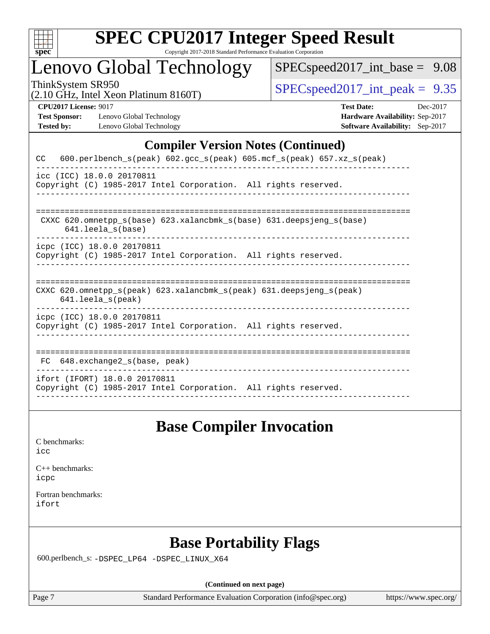

## Lenovo Global Technology

[SPECspeed2017\\_int\\_base =](http://www.spec.org/auto/cpu2017/Docs/result-fields.html#SPECspeed2017intbase) 9.08

(2.10 GHz, Intel Xeon Platinum 8160T)

ThinkSystem SR950<br>  $(2.10 \text{ GHz. Intel Yoon Plotinum } 8160 \text{T})$   $\text{SPEC speed2017\_int\_peak} = 9.35$ 

**[Test Sponsor:](http://www.spec.org/auto/cpu2017/Docs/result-fields.html#TestSponsor)** Lenovo Global Technology **[Hardware Availability:](http://www.spec.org/auto/cpu2017/Docs/result-fields.html#HardwareAvailability)** Sep-2017 **[Tested by:](http://www.spec.org/auto/cpu2017/Docs/result-fields.html#Testedby)** Lenovo Global Technology **[Software Availability:](http://www.spec.org/auto/cpu2017/Docs/result-fields.html#SoftwareAvailability)** Sep-2017

**[CPU2017 License:](http://www.spec.org/auto/cpu2017/Docs/result-fields.html#CPU2017License)** 9017 **[Test Date:](http://www.spec.org/auto/cpu2017/Docs/result-fields.html#TestDate)** Dec-2017

## **[Compiler Version Notes \(Continued\)](http://www.spec.org/auto/cpu2017/Docs/result-fields.html#CompilerVersionNotes)**

| 600.perlbench_s(peak) 602.gcc_s(peak) 605.mcf_s(peak) 657.xz_s(peak)<br><b>CC</b>                                          |
|----------------------------------------------------------------------------------------------------------------------------|
| icc (ICC) 18.0.0 20170811<br>Copyright (C) 1985-2017 Intel Corporation. All rights reserved.                               |
| CXXC 620.omnetpp $s(base)$ 623.xalancbmk $s(base)$ 631.deepsjeng $s(base)$<br>$641.$ leela $s$ (base)                      |
| icpc (ICC) 18.0.0 20170811<br>Copyright (C) 1985-2017 Intel Corporation. All rights reserved.                              |
| CXXC 620.omnetpp $s(\text{peak})$ 623.xalancbmk $s(\text{peak})$ 631.deepsjeng $s(\text{peak})$<br>$641.$ leela $s$ (peak) |
| icpc (ICC) 18.0.0 20170811<br>Copyright (C) 1985-2017 Intel Corporation. All rights reserved.                              |
| FC 648.exchange2_s(base, peak)                                                                                             |
| ifort (IFORT) 18.0.0 20170811<br>Copyright (C) 1985-2017 Intel Corporation. All rights reserved.                           |

## **[Base Compiler Invocation](http://www.spec.org/auto/cpu2017/Docs/result-fields.html#BaseCompilerInvocation)**

[icc](http://www.spec.org/cpu2017/results/res2018q1/cpu2017-20180122-02775.flags.html#user_CCbase_intel_icc_18.0_66fc1ee009f7361af1fbd72ca7dcefbb700085f36577c54f309893dd4ec40d12360134090235512931783d35fd58c0460139e722d5067c5574d8eaf2b3e37e92)

| $C_{++}$ benchmarks: |
|----------------------|
| icpc                 |

[Fortran benchmarks](http://www.spec.org/auto/cpu2017/Docs/result-fields.html#Fortranbenchmarks): [ifort](http://www.spec.org/cpu2017/results/res2018q1/cpu2017-20180122-02775.flags.html#user_FCbase_intel_ifort_18.0_8111460550e3ca792625aed983ce982f94888b8b503583aa7ba2b8303487b4d8a21a13e7191a45c5fd58ff318f48f9492884d4413fa793fd88dd292cad7027ca)

## **[Base Portability Flags](http://www.spec.org/auto/cpu2017/Docs/result-fields.html#BasePortabilityFlags)**

600.perlbench\_s: [-DSPEC\\_LP64](http://www.spec.org/cpu2017/results/res2018q1/cpu2017-20180122-02775.flags.html#b600.perlbench_s_basePORTABILITY_DSPEC_LP64) [-DSPEC\\_LINUX\\_X64](http://www.spec.org/cpu2017/results/res2018q1/cpu2017-20180122-02775.flags.html#b600.perlbench_s_baseCPORTABILITY_DSPEC_LINUX_X64)

**(Continued on next page)**

Page 7 Standard Performance Evaluation Corporation [\(info@spec.org\)](mailto:info@spec.org) <https://www.spec.org/>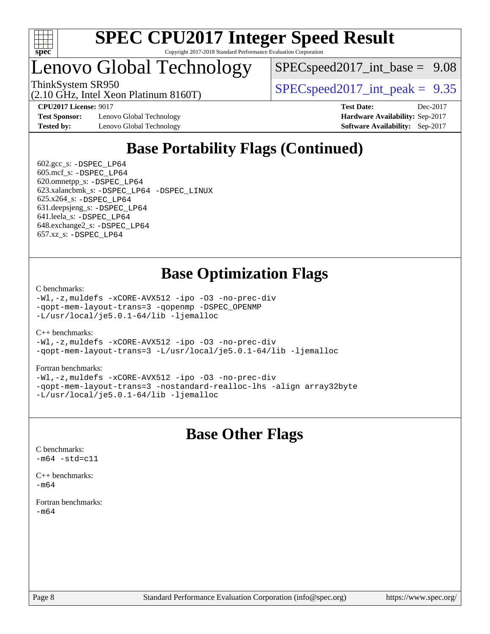

## Lenovo Global Technology

(2.10 GHz, Intel Xeon Platinum 8160T)

 $SPECspeed2017\_int\_base = 9.08$ 

ThinkSystem SR950  $SPEC speed2017$  int peak = 9.35

**[Test Sponsor:](http://www.spec.org/auto/cpu2017/Docs/result-fields.html#TestSponsor)** Lenovo Global Technology **[Hardware Availability:](http://www.spec.org/auto/cpu2017/Docs/result-fields.html#HardwareAvailability)** Sep-2017 **[Tested by:](http://www.spec.org/auto/cpu2017/Docs/result-fields.html#Testedby)** Lenovo Global Technology **[Software Availability:](http://www.spec.org/auto/cpu2017/Docs/result-fields.html#SoftwareAvailability)** Sep-2017

**[CPU2017 License:](http://www.spec.org/auto/cpu2017/Docs/result-fields.html#CPU2017License)** 9017 **[Test Date:](http://www.spec.org/auto/cpu2017/Docs/result-fields.html#TestDate)** Dec-2017

## **[Base Portability Flags \(Continued\)](http://www.spec.org/auto/cpu2017/Docs/result-fields.html#BasePortabilityFlags)**

 $602.\text{gcc}\$ : -DSPEC LP64 605.mcf\_s: [-DSPEC\\_LP64](http://www.spec.org/cpu2017/results/res2018q1/cpu2017-20180122-02775.flags.html#suite_basePORTABILITY605_mcf_s_DSPEC_LP64) 620.omnetpp\_s: [-DSPEC\\_LP64](http://www.spec.org/cpu2017/results/res2018q1/cpu2017-20180122-02775.flags.html#suite_basePORTABILITY620_omnetpp_s_DSPEC_LP64) 623.xalancbmk\_s: [-DSPEC\\_LP64](http://www.spec.org/cpu2017/results/res2018q1/cpu2017-20180122-02775.flags.html#suite_basePORTABILITY623_xalancbmk_s_DSPEC_LP64) [-DSPEC\\_LINUX](http://www.spec.org/cpu2017/results/res2018q1/cpu2017-20180122-02775.flags.html#b623.xalancbmk_s_baseCXXPORTABILITY_DSPEC_LINUX) 625.x264\_s: [-DSPEC\\_LP64](http://www.spec.org/cpu2017/results/res2018q1/cpu2017-20180122-02775.flags.html#suite_basePORTABILITY625_x264_s_DSPEC_LP64) 631.deepsjeng\_s: [-DSPEC\\_LP64](http://www.spec.org/cpu2017/results/res2018q1/cpu2017-20180122-02775.flags.html#suite_basePORTABILITY631_deepsjeng_s_DSPEC_LP64) 641.leela\_s: [-DSPEC\\_LP64](http://www.spec.org/cpu2017/results/res2018q1/cpu2017-20180122-02775.flags.html#suite_basePORTABILITY641_leela_s_DSPEC_LP64) 648.exchange2\_s: [-DSPEC\\_LP64](http://www.spec.org/cpu2017/results/res2018q1/cpu2017-20180122-02775.flags.html#suite_basePORTABILITY648_exchange2_s_DSPEC_LP64) 657.xz\_s: [-DSPEC\\_LP64](http://www.spec.org/cpu2017/results/res2018q1/cpu2017-20180122-02775.flags.html#suite_basePORTABILITY657_xz_s_DSPEC_LP64)

## **[Base Optimization Flags](http://www.spec.org/auto/cpu2017/Docs/result-fields.html#BaseOptimizationFlags)**

[C benchmarks](http://www.spec.org/auto/cpu2017/Docs/result-fields.html#Cbenchmarks):

[-Wl,-z,muldefs](http://www.spec.org/cpu2017/results/res2018q1/cpu2017-20180122-02775.flags.html#user_CCbase_link_force_multiple1_b4cbdb97b34bdee9ceefcfe54f4c8ea74255f0b02a4b23e853cdb0e18eb4525ac79b5a88067c842dd0ee6996c24547a27a4b99331201badda8798ef8a743f577) [-xCORE-AVX512](http://www.spec.org/cpu2017/results/res2018q1/cpu2017-20180122-02775.flags.html#user_CCbase_f-xCORE-AVX512) [-ipo](http://www.spec.org/cpu2017/results/res2018q1/cpu2017-20180122-02775.flags.html#user_CCbase_f-ipo) [-O3](http://www.spec.org/cpu2017/results/res2018q1/cpu2017-20180122-02775.flags.html#user_CCbase_f-O3) [-no-prec-div](http://www.spec.org/cpu2017/results/res2018q1/cpu2017-20180122-02775.flags.html#user_CCbase_f-no-prec-div) [-qopt-mem-layout-trans=3](http://www.spec.org/cpu2017/results/res2018q1/cpu2017-20180122-02775.flags.html#user_CCbase_f-qopt-mem-layout-trans_de80db37974c74b1f0e20d883f0b675c88c3b01e9d123adea9b28688d64333345fb62bc4a798493513fdb68f60282f9a726aa07f478b2f7113531aecce732043) [-qopenmp](http://www.spec.org/cpu2017/results/res2018q1/cpu2017-20180122-02775.flags.html#user_CCbase_qopenmp_16be0c44f24f464004c6784a7acb94aca937f053568ce72f94b139a11c7c168634a55f6653758ddd83bcf7b8463e8028bb0b48b77bcddc6b78d5d95bb1df2967) [-DSPEC\\_OPENMP](http://www.spec.org/cpu2017/results/res2018q1/cpu2017-20180122-02775.flags.html#suite_CCbase_DSPEC_OPENMP) [-L/usr/local/je5.0.1-64/lib](http://www.spec.org/cpu2017/results/res2018q1/cpu2017-20180122-02775.flags.html#user_CCbase_jemalloc_link_path64_4b10a636b7bce113509b17f3bd0d6226c5fb2346b9178c2d0232c14f04ab830f976640479e5c33dc2bcbbdad86ecfb6634cbbd4418746f06f368b512fced5394) [-ljemalloc](http://www.spec.org/cpu2017/results/res2018q1/cpu2017-20180122-02775.flags.html#user_CCbase_jemalloc_link_lib_d1249b907c500fa1c0672f44f562e3d0f79738ae9e3c4a9c376d49f265a04b9c99b167ecedbf6711b3085be911c67ff61f150a17b3472be731631ba4d0471706)

[C++ benchmarks:](http://www.spec.org/auto/cpu2017/Docs/result-fields.html#CXXbenchmarks)

[-Wl,-z,muldefs](http://www.spec.org/cpu2017/results/res2018q1/cpu2017-20180122-02775.flags.html#user_CXXbase_link_force_multiple1_b4cbdb97b34bdee9ceefcfe54f4c8ea74255f0b02a4b23e853cdb0e18eb4525ac79b5a88067c842dd0ee6996c24547a27a4b99331201badda8798ef8a743f577) [-xCORE-AVX512](http://www.spec.org/cpu2017/results/res2018q1/cpu2017-20180122-02775.flags.html#user_CXXbase_f-xCORE-AVX512) [-ipo](http://www.spec.org/cpu2017/results/res2018q1/cpu2017-20180122-02775.flags.html#user_CXXbase_f-ipo) [-O3](http://www.spec.org/cpu2017/results/res2018q1/cpu2017-20180122-02775.flags.html#user_CXXbase_f-O3) [-no-prec-div](http://www.spec.org/cpu2017/results/res2018q1/cpu2017-20180122-02775.flags.html#user_CXXbase_f-no-prec-div) [-qopt-mem-layout-trans=3](http://www.spec.org/cpu2017/results/res2018q1/cpu2017-20180122-02775.flags.html#user_CXXbase_f-qopt-mem-layout-trans_de80db37974c74b1f0e20d883f0b675c88c3b01e9d123adea9b28688d64333345fb62bc4a798493513fdb68f60282f9a726aa07f478b2f7113531aecce732043) [-L/usr/local/je5.0.1-64/lib](http://www.spec.org/cpu2017/results/res2018q1/cpu2017-20180122-02775.flags.html#user_CXXbase_jemalloc_link_path64_4b10a636b7bce113509b17f3bd0d6226c5fb2346b9178c2d0232c14f04ab830f976640479e5c33dc2bcbbdad86ecfb6634cbbd4418746f06f368b512fced5394) [-ljemalloc](http://www.spec.org/cpu2017/results/res2018q1/cpu2017-20180122-02775.flags.html#user_CXXbase_jemalloc_link_lib_d1249b907c500fa1c0672f44f562e3d0f79738ae9e3c4a9c376d49f265a04b9c99b167ecedbf6711b3085be911c67ff61f150a17b3472be731631ba4d0471706)

#### [Fortran benchmarks](http://www.spec.org/auto/cpu2017/Docs/result-fields.html#Fortranbenchmarks):

[-Wl,-z,muldefs](http://www.spec.org/cpu2017/results/res2018q1/cpu2017-20180122-02775.flags.html#user_FCbase_link_force_multiple1_b4cbdb97b34bdee9ceefcfe54f4c8ea74255f0b02a4b23e853cdb0e18eb4525ac79b5a88067c842dd0ee6996c24547a27a4b99331201badda8798ef8a743f577) [-xCORE-AVX512](http://www.spec.org/cpu2017/results/res2018q1/cpu2017-20180122-02775.flags.html#user_FCbase_f-xCORE-AVX512) [-ipo](http://www.spec.org/cpu2017/results/res2018q1/cpu2017-20180122-02775.flags.html#user_FCbase_f-ipo) [-O3](http://www.spec.org/cpu2017/results/res2018q1/cpu2017-20180122-02775.flags.html#user_FCbase_f-O3) [-no-prec-div](http://www.spec.org/cpu2017/results/res2018q1/cpu2017-20180122-02775.flags.html#user_FCbase_f-no-prec-div) [-qopt-mem-layout-trans=3](http://www.spec.org/cpu2017/results/res2018q1/cpu2017-20180122-02775.flags.html#user_FCbase_f-qopt-mem-layout-trans_de80db37974c74b1f0e20d883f0b675c88c3b01e9d123adea9b28688d64333345fb62bc4a798493513fdb68f60282f9a726aa07f478b2f7113531aecce732043) [-nostandard-realloc-lhs](http://www.spec.org/cpu2017/results/res2018q1/cpu2017-20180122-02775.flags.html#user_FCbase_f_2003_std_realloc_82b4557e90729c0f113870c07e44d33d6f5a304b4f63d4c15d2d0f1fab99f5daaed73bdb9275d9ae411527f28b936061aa8b9c8f2d63842963b95c9dd6426b8a) [-align array32byte](http://www.spec.org/cpu2017/results/res2018q1/cpu2017-20180122-02775.flags.html#user_FCbase_align_array32byte_b982fe038af199962ba9a80c053b8342c548c85b40b8e86eb3cc33dee0d7986a4af373ac2d51c3f7cf710a18d62fdce2948f201cd044323541f22fc0fffc51b6) [-L/usr/local/je5.0.1-64/lib](http://www.spec.org/cpu2017/results/res2018q1/cpu2017-20180122-02775.flags.html#user_FCbase_jemalloc_link_path64_4b10a636b7bce113509b17f3bd0d6226c5fb2346b9178c2d0232c14f04ab830f976640479e5c33dc2bcbbdad86ecfb6634cbbd4418746f06f368b512fced5394) [-ljemalloc](http://www.spec.org/cpu2017/results/res2018q1/cpu2017-20180122-02775.flags.html#user_FCbase_jemalloc_link_lib_d1249b907c500fa1c0672f44f562e3d0f79738ae9e3c4a9c376d49f265a04b9c99b167ecedbf6711b3085be911c67ff61f150a17b3472be731631ba4d0471706)

## **[Base Other Flags](http://www.spec.org/auto/cpu2017/Docs/result-fields.html#BaseOtherFlags)**

[C benchmarks](http://www.spec.org/auto/cpu2017/Docs/result-fields.html#Cbenchmarks):  $-m64 - std= c11$  $-m64 - std= c11$ 

[C++ benchmarks:](http://www.spec.org/auto/cpu2017/Docs/result-fields.html#CXXbenchmarks)  $-m64$ 

[Fortran benchmarks](http://www.spec.org/auto/cpu2017/Docs/result-fields.html#Fortranbenchmarks): [-m64](http://www.spec.org/cpu2017/results/res2018q1/cpu2017-20180122-02775.flags.html#user_FCbase_intel_intel64_18.0_af43caccfc8ded86e7699f2159af6efc7655f51387b94da716254467f3c01020a5059329e2569e4053f409e7c9202a7efc638f7a6d1ffb3f52dea4a3e31d82ab)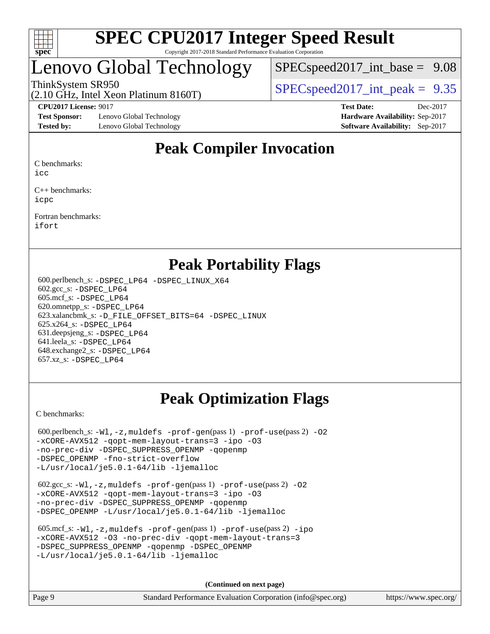

## enovo Global Technology

 $SPECspeed2017\_int\_base = 9.08$ 

(2.10 GHz, Intel Xeon Platinum 8160T)

## ThinkSystem SR950  $SPEC speed2017$  int peak = 9.35

**[Test Sponsor:](http://www.spec.org/auto/cpu2017/Docs/result-fields.html#TestSponsor)** Lenovo Global Technology **[Hardware Availability:](http://www.spec.org/auto/cpu2017/Docs/result-fields.html#HardwareAvailability)** Sep-2017 **[Tested by:](http://www.spec.org/auto/cpu2017/Docs/result-fields.html#Testedby)** Lenovo Global Technology **[Software Availability:](http://www.spec.org/auto/cpu2017/Docs/result-fields.html#SoftwareAvailability)** Sep-2017

**[CPU2017 License:](http://www.spec.org/auto/cpu2017/Docs/result-fields.html#CPU2017License)** 9017 **[Test Date:](http://www.spec.org/auto/cpu2017/Docs/result-fields.html#TestDate)** Dec-2017

## **[Peak Compiler Invocation](http://www.spec.org/auto/cpu2017/Docs/result-fields.html#PeakCompilerInvocation)**

[C benchmarks:](http://www.spec.org/auto/cpu2017/Docs/result-fields.html#Cbenchmarks)

[icc](http://www.spec.org/cpu2017/results/res2018q1/cpu2017-20180122-02775.flags.html#user_CCpeak_intel_icc_18.0_66fc1ee009f7361af1fbd72ca7dcefbb700085f36577c54f309893dd4ec40d12360134090235512931783d35fd58c0460139e722d5067c5574d8eaf2b3e37e92)

[C++ benchmarks:](http://www.spec.org/auto/cpu2017/Docs/result-fields.html#CXXbenchmarks) [icpc](http://www.spec.org/cpu2017/results/res2018q1/cpu2017-20180122-02775.flags.html#user_CXXpeak_intel_icpc_18.0_c510b6838c7f56d33e37e94d029a35b4a7bccf4766a728ee175e80a419847e808290a9b78be685c44ab727ea267ec2f070ec5dc83b407c0218cded6866a35d07)

[Fortran benchmarks](http://www.spec.org/auto/cpu2017/Docs/result-fields.html#Fortranbenchmarks): [ifort](http://www.spec.org/cpu2017/results/res2018q1/cpu2017-20180122-02775.flags.html#user_FCpeak_intel_ifort_18.0_8111460550e3ca792625aed983ce982f94888b8b503583aa7ba2b8303487b4d8a21a13e7191a45c5fd58ff318f48f9492884d4413fa793fd88dd292cad7027ca)

## **[Peak Portability Flags](http://www.spec.org/auto/cpu2017/Docs/result-fields.html#PeakPortabilityFlags)**

 600.perlbench\_s: [-DSPEC\\_LP64](http://www.spec.org/cpu2017/results/res2018q1/cpu2017-20180122-02775.flags.html#b600.perlbench_s_peakPORTABILITY_DSPEC_LP64) [-DSPEC\\_LINUX\\_X64](http://www.spec.org/cpu2017/results/res2018q1/cpu2017-20180122-02775.flags.html#b600.perlbench_s_peakCPORTABILITY_DSPEC_LINUX_X64) 602.gcc\_s: [-DSPEC\\_LP64](http://www.spec.org/cpu2017/results/res2018q1/cpu2017-20180122-02775.flags.html#suite_peakPORTABILITY602_gcc_s_DSPEC_LP64) 605.mcf\_s: [-DSPEC\\_LP64](http://www.spec.org/cpu2017/results/res2018q1/cpu2017-20180122-02775.flags.html#suite_peakPORTABILITY605_mcf_s_DSPEC_LP64) 620.omnetpp\_s: [-DSPEC\\_LP64](http://www.spec.org/cpu2017/results/res2018q1/cpu2017-20180122-02775.flags.html#suite_peakPORTABILITY620_omnetpp_s_DSPEC_LP64) 623.xalancbmk\_s: [-D\\_FILE\\_OFFSET\\_BITS=64](http://www.spec.org/cpu2017/results/res2018q1/cpu2017-20180122-02775.flags.html#user_peakPORTABILITY623_xalancbmk_s_file_offset_bits_64_5ae949a99b284ddf4e95728d47cb0843d81b2eb0e18bdfe74bbf0f61d0b064f4bda2f10ea5eb90e1dcab0e84dbc592acfc5018bc955c18609f94ddb8d550002c) [-DSPEC\\_LINUX](http://www.spec.org/cpu2017/results/res2018q1/cpu2017-20180122-02775.flags.html#b623.xalancbmk_s_peakCXXPORTABILITY_DSPEC_LINUX) 625.x264\_s: [-DSPEC\\_LP64](http://www.spec.org/cpu2017/results/res2018q1/cpu2017-20180122-02775.flags.html#suite_peakPORTABILITY625_x264_s_DSPEC_LP64) 631.deepsjeng\_s: [-DSPEC\\_LP64](http://www.spec.org/cpu2017/results/res2018q1/cpu2017-20180122-02775.flags.html#suite_peakPORTABILITY631_deepsjeng_s_DSPEC_LP64) 641.leela\_s: [-DSPEC\\_LP64](http://www.spec.org/cpu2017/results/res2018q1/cpu2017-20180122-02775.flags.html#suite_peakPORTABILITY641_leela_s_DSPEC_LP64) 648.exchange2\_s: [-DSPEC\\_LP64](http://www.spec.org/cpu2017/results/res2018q1/cpu2017-20180122-02775.flags.html#suite_peakPORTABILITY648_exchange2_s_DSPEC_LP64) 657.xz\_s: [-DSPEC\\_LP64](http://www.spec.org/cpu2017/results/res2018q1/cpu2017-20180122-02775.flags.html#suite_peakPORTABILITY657_xz_s_DSPEC_LP64)

## **[Peak Optimization Flags](http://www.spec.org/auto/cpu2017/Docs/result-fields.html#PeakOptimizationFlags)**

[C benchmarks](http://www.spec.org/auto/cpu2017/Docs/result-fields.html#Cbenchmarks):

600.perlbench\_s:  $-W1$ , -z, muldefs [-prof-gen](http://www.spec.org/cpu2017/results/res2018q1/cpu2017-20180122-02775.flags.html#user_peakPASS1_CFLAGSPASS1_LDFLAGS600_perlbench_s_prof_gen_5aa4926d6013ddb2a31985c654b3eb18169fc0c6952a63635c234f711e6e63dd76e94ad52365559451ec499a2cdb89e4dc58ba4c67ef54ca681ffbe1461d6b36)(pass 1) [-prof-use](http://www.spec.org/cpu2017/results/res2018q1/cpu2017-20180122-02775.flags.html#user_peakPASS2_CFLAGSPASS2_LDFLAGS600_perlbench_s_prof_use_1a21ceae95f36a2b53c25747139a6c16ca95bd9def2a207b4f0849963b97e94f5260e30a0c64f4bb623698870e679ca08317ef8150905d41bd88c6f78df73f19)(pass 2) -02 [-xCORE-AVX512](http://www.spec.org/cpu2017/results/res2018q1/cpu2017-20180122-02775.flags.html#user_peakPASS2_COPTIMIZE600_perlbench_s_f-xCORE-AVX512) [-qopt-mem-layout-trans=3](http://www.spec.org/cpu2017/results/res2018q1/cpu2017-20180122-02775.flags.html#user_peakPASS1_COPTIMIZEPASS2_COPTIMIZE600_perlbench_s_f-qopt-mem-layout-trans_de80db37974c74b1f0e20d883f0b675c88c3b01e9d123adea9b28688d64333345fb62bc4a798493513fdb68f60282f9a726aa07f478b2f7113531aecce732043) [-ipo](http://www.spec.org/cpu2017/results/res2018q1/cpu2017-20180122-02775.flags.html#user_peakPASS2_COPTIMIZE600_perlbench_s_f-ipo) [-O3](http://www.spec.org/cpu2017/results/res2018q1/cpu2017-20180122-02775.flags.html#user_peakPASS2_COPTIMIZE600_perlbench_s_f-O3) [-no-prec-div](http://www.spec.org/cpu2017/results/res2018q1/cpu2017-20180122-02775.flags.html#user_peakPASS2_COPTIMIZE600_perlbench_s_f-no-prec-div) [-DSPEC\\_SUPPRESS\\_OPENMP](http://www.spec.org/cpu2017/results/res2018q1/cpu2017-20180122-02775.flags.html#suite_peakPASS1_COPTIMIZE600_perlbench_s_DSPEC_SUPPRESS_OPENMP) [-qopenmp](http://www.spec.org/cpu2017/results/res2018q1/cpu2017-20180122-02775.flags.html#user_peakPASS2_COPTIMIZE600_perlbench_s_qopenmp_16be0c44f24f464004c6784a7acb94aca937f053568ce72f94b139a11c7c168634a55f6653758ddd83bcf7b8463e8028bb0b48b77bcddc6b78d5d95bb1df2967) [-DSPEC\\_OPENMP](http://www.spec.org/cpu2017/results/res2018q1/cpu2017-20180122-02775.flags.html#suite_peakPASS2_COPTIMIZE600_perlbench_s_DSPEC_OPENMP) [-fno-strict-overflow](http://www.spec.org/cpu2017/results/res2018q1/cpu2017-20180122-02775.flags.html#user_peakEXTRA_OPTIMIZE600_perlbench_s_f-fno-strict-overflow) [-L/usr/local/je5.0.1-64/lib](http://www.spec.org/cpu2017/results/res2018q1/cpu2017-20180122-02775.flags.html#user_peakEXTRA_LIBS600_perlbench_s_jemalloc_link_path64_4b10a636b7bce113509b17f3bd0d6226c5fb2346b9178c2d0232c14f04ab830f976640479e5c33dc2bcbbdad86ecfb6634cbbd4418746f06f368b512fced5394) [-ljemalloc](http://www.spec.org/cpu2017/results/res2018q1/cpu2017-20180122-02775.flags.html#user_peakEXTRA_LIBS600_perlbench_s_jemalloc_link_lib_d1249b907c500fa1c0672f44f562e3d0f79738ae9e3c4a9c376d49f265a04b9c99b167ecedbf6711b3085be911c67ff61f150a17b3472be731631ba4d0471706)

 602.gcc\_s: [-Wl,-z,muldefs](http://www.spec.org/cpu2017/results/res2018q1/cpu2017-20180122-02775.flags.html#user_peakEXTRA_LDFLAGS602_gcc_s_link_force_multiple1_b4cbdb97b34bdee9ceefcfe54f4c8ea74255f0b02a4b23e853cdb0e18eb4525ac79b5a88067c842dd0ee6996c24547a27a4b99331201badda8798ef8a743f577) [-prof-gen](http://www.spec.org/cpu2017/results/res2018q1/cpu2017-20180122-02775.flags.html#user_peakPASS1_CFLAGSPASS1_LDFLAGS602_gcc_s_prof_gen_5aa4926d6013ddb2a31985c654b3eb18169fc0c6952a63635c234f711e6e63dd76e94ad52365559451ec499a2cdb89e4dc58ba4c67ef54ca681ffbe1461d6b36)(pass 1) [-prof-use](http://www.spec.org/cpu2017/results/res2018q1/cpu2017-20180122-02775.flags.html#user_peakPASS2_CFLAGSPASS2_LDFLAGS602_gcc_s_prof_use_1a21ceae95f36a2b53c25747139a6c16ca95bd9def2a207b4f0849963b97e94f5260e30a0c64f4bb623698870e679ca08317ef8150905d41bd88c6f78df73f19)(pass 2) [-O2](http://www.spec.org/cpu2017/results/res2018q1/cpu2017-20180122-02775.flags.html#user_peakPASS1_COPTIMIZE602_gcc_s_f-O2) [-xCORE-AVX512](http://www.spec.org/cpu2017/results/res2018q1/cpu2017-20180122-02775.flags.html#user_peakPASS2_COPTIMIZE602_gcc_s_f-xCORE-AVX512) [-qopt-mem-layout-trans=3](http://www.spec.org/cpu2017/results/res2018q1/cpu2017-20180122-02775.flags.html#user_peakPASS1_COPTIMIZEPASS2_COPTIMIZE602_gcc_s_f-qopt-mem-layout-trans_de80db37974c74b1f0e20d883f0b675c88c3b01e9d123adea9b28688d64333345fb62bc4a798493513fdb68f60282f9a726aa07f478b2f7113531aecce732043) [-ipo](http://www.spec.org/cpu2017/results/res2018q1/cpu2017-20180122-02775.flags.html#user_peakPASS2_COPTIMIZE602_gcc_s_f-ipo) [-O3](http://www.spec.org/cpu2017/results/res2018q1/cpu2017-20180122-02775.flags.html#user_peakPASS2_COPTIMIZE602_gcc_s_f-O3) [-no-prec-div](http://www.spec.org/cpu2017/results/res2018q1/cpu2017-20180122-02775.flags.html#user_peakPASS2_COPTIMIZE602_gcc_s_f-no-prec-div) [-DSPEC\\_SUPPRESS\\_OPENMP](http://www.spec.org/cpu2017/results/res2018q1/cpu2017-20180122-02775.flags.html#suite_peakPASS1_COPTIMIZE602_gcc_s_DSPEC_SUPPRESS_OPENMP) [-qopenmp](http://www.spec.org/cpu2017/results/res2018q1/cpu2017-20180122-02775.flags.html#user_peakPASS2_COPTIMIZE602_gcc_s_qopenmp_16be0c44f24f464004c6784a7acb94aca937f053568ce72f94b139a11c7c168634a55f6653758ddd83bcf7b8463e8028bb0b48b77bcddc6b78d5d95bb1df2967) [-DSPEC\\_OPENMP](http://www.spec.org/cpu2017/results/res2018q1/cpu2017-20180122-02775.flags.html#suite_peakPASS2_COPTIMIZE602_gcc_s_DSPEC_OPENMP) [-L/usr/local/je5.0.1-64/lib](http://www.spec.org/cpu2017/results/res2018q1/cpu2017-20180122-02775.flags.html#user_peakEXTRA_LIBS602_gcc_s_jemalloc_link_path64_4b10a636b7bce113509b17f3bd0d6226c5fb2346b9178c2d0232c14f04ab830f976640479e5c33dc2bcbbdad86ecfb6634cbbd4418746f06f368b512fced5394) [-ljemalloc](http://www.spec.org/cpu2017/results/res2018q1/cpu2017-20180122-02775.flags.html#user_peakEXTRA_LIBS602_gcc_s_jemalloc_link_lib_d1249b907c500fa1c0672f44f562e3d0f79738ae9e3c4a9c376d49f265a04b9c99b167ecedbf6711b3085be911c67ff61f150a17b3472be731631ba4d0471706)

| 605.mcf s: $-Wl$ , $-z$ , muldefs $-prof-qen(pass 1)$ $-prof-use(pass 2) -ipo$ |
|--------------------------------------------------------------------------------|
| -xCORE-AVX512 -03 -no-prec-div -gopt-mem-layout-trans=3                        |
| -DSPEC SUPPRESS OPENMP - gopenmp - DSPEC OPENMP                                |
| -L/usr/local/je5.0.1-64/lib -ljemalloc                                         |

**(Continued on next page)**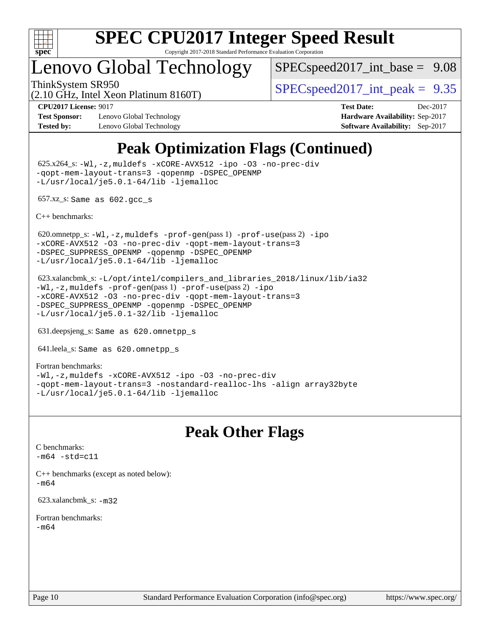

## Lenovo Global Technology

(2.10 GHz, Intel Xeon Platinum 8160T)

 $SPECspeed2017\_int\_base = 9.08$ 

ThinkSystem SR950<br>  $SPECspeed2017$  int\_peak = 9.35

**[Test Sponsor:](http://www.spec.org/auto/cpu2017/Docs/result-fields.html#TestSponsor)** Lenovo Global Technology **[Hardware Availability:](http://www.spec.org/auto/cpu2017/Docs/result-fields.html#HardwareAvailability)** Sep-2017 **[Tested by:](http://www.spec.org/auto/cpu2017/Docs/result-fields.html#Testedby)** Lenovo Global Technology **[Software Availability:](http://www.spec.org/auto/cpu2017/Docs/result-fields.html#SoftwareAvailability)** Sep-2017

**[CPU2017 License:](http://www.spec.org/auto/cpu2017/Docs/result-fields.html#CPU2017License)** 9017 **[Test Date:](http://www.spec.org/auto/cpu2017/Docs/result-fields.html#TestDate)** Dec-2017

## **[Peak Optimization Flags \(Continued\)](http://www.spec.org/auto/cpu2017/Docs/result-fields.html#PeakOptimizationFlags)**

 625.x264\_s: [-Wl,-z,muldefs](http://www.spec.org/cpu2017/results/res2018q1/cpu2017-20180122-02775.flags.html#user_peakEXTRA_LDFLAGS625_x264_s_link_force_multiple1_b4cbdb97b34bdee9ceefcfe54f4c8ea74255f0b02a4b23e853cdb0e18eb4525ac79b5a88067c842dd0ee6996c24547a27a4b99331201badda8798ef8a743f577) [-xCORE-AVX512](http://www.spec.org/cpu2017/results/res2018q1/cpu2017-20180122-02775.flags.html#user_peakCOPTIMIZE625_x264_s_f-xCORE-AVX512) [-ipo](http://www.spec.org/cpu2017/results/res2018q1/cpu2017-20180122-02775.flags.html#user_peakCOPTIMIZE625_x264_s_f-ipo) [-O3](http://www.spec.org/cpu2017/results/res2018q1/cpu2017-20180122-02775.flags.html#user_peakCOPTIMIZE625_x264_s_f-O3) [-no-prec-div](http://www.spec.org/cpu2017/results/res2018q1/cpu2017-20180122-02775.flags.html#user_peakCOPTIMIZE625_x264_s_f-no-prec-div) [-qopt-mem-layout-trans=3](http://www.spec.org/cpu2017/results/res2018q1/cpu2017-20180122-02775.flags.html#user_peakCOPTIMIZE625_x264_s_f-qopt-mem-layout-trans_de80db37974c74b1f0e20d883f0b675c88c3b01e9d123adea9b28688d64333345fb62bc4a798493513fdb68f60282f9a726aa07f478b2f7113531aecce732043) [-qopenmp](http://www.spec.org/cpu2017/results/res2018q1/cpu2017-20180122-02775.flags.html#user_peakCOPTIMIZE625_x264_s_qopenmp_16be0c44f24f464004c6784a7acb94aca937f053568ce72f94b139a11c7c168634a55f6653758ddd83bcf7b8463e8028bb0b48b77bcddc6b78d5d95bb1df2967) [-DSPEC\\_OPENMP](http://www.spec.org/cpu2017/results/res2018q1/cpu2017-20180122-02775.flags.html#suite_peakCOPTIMIZE625_x264_s_DSPEC_OPENMP) [-L/usr/local/je5.0.1-64/lib](http://www.spec.org/cpu2017/results/res2018q1/cpu2017-20180122-02775.flags.html#user_peakEXTRA_LIBS625_x264_s_jemalloc_link_path64_4b10a636b7bce113509b17f3bd0d6226c5fb2346b9178c2d0232c14f04ab830f976640479e5c33dc2bcbbdad86ecfb6634cbbd4418746f06f368b512fced5394) [-ljemalloc](http://www.spec.org/cpu2017/results/res2018q1/cpu2017-20180122-02775.flags.html#user_peakEXTRA_LIBS625_x264_s_jemalloc_link_lib_d1249b907c500fa1c0672f44f562e3d0f79738ae9e3c4a9c376d49f265a04b9c99b167ecedbf6711b3085be911c67ff61f150a17b3472be731631ba4d0471706)

657.xz\_s: Same as 602.gcc\_s

[C++ benchmarks:](http://www.spec.org/auto/cpu2017/Docs/result-fields.html#CXXbenchmarks)

620.omnetpp\_s: $-W1$ ,-z,muldefs -prof-qen(pass 1) [-prof-use](http://www.spec.org/cpu2017/results/res2018q1/cpu2017-20180122-02775.flags.html#user_peakPASS2_CXXFLAGSPASS2_LDFLAGS620_omnetpp_s_prof_use_1a21ceae95f36a2b53c25747139a6c16ca95bd9def2a207b4f0849963b97e94f5260e30a0c64f4bb623698870e679ca08317ef8150905d41bd88c6f78df73f19)(pass 2) [-ipo](http://www.spec.org/cpu2017/results/res2018q1/cpu2017-20180122-02775.flags.html#user_peakPASS1_CXXOPTIMIZEPASS2_CXXOPTIMIZE620_omnetpp_s_f-ipo) [-xCORE-AVX512](http://www.spec.org/cpu2017/results/res2018q1/cpu2017-20180122-02775.flags.html#user_peakPASS2_CXXOPTIMIZE620_omnetpp_s_f-xCORE-AVX512) [-O3](http://www.spec.org/cpu2017/results/res2018q1/cpu2017-20180122-02775.flags.html#user_peakPASS1_CXXOPTIMIZEPASS2_CXXOPTIMIZE620_omnetpp_s_f-O3) [-no-prec-div](http://www.spec.org/cpu2017/results/res2018q1/cpu2017-20180122-02775.flags.html#user_peakPASS1_CXXOPTIMIZEPASS2_CXXOPTIMIZE620_omnetpp_s_f-no-prec-div) [-qopt-mem-layout-trans=3](http://www.spec.org/cpu2017/results/res2018q1/cpu2017-20180122-02775.flags.html#user_peakPASS1_CXXOPTIMIZEPASS2_CXXOPTIMIZE620_omnetpp_s_f-qopt-mem-layout-trans_de80db37974c74b1f0e20d883f0b675c88c3b01e9d123adea9b28688d64333345fb62bc4a798493513fdb68f60282f9a726aa07f478b2f7113531aecce732043) [-DSPEC\\_SUPPRESS\\_OPENMP](http://www.spec.org/cpu2017/results/res2018q1/cpu2017-20180122-02775.flags.html#suite_peakPASS1_CXXOPTIMIZE620_omnetpp_s_DSPEC_SUPPRESS_OPENMP) [-qopenmp](http://www.spec.org/cpu2017/results/res2018q1/cpu2017-20180122-02775.flags.html#user_peakPASS2_CXXOPTIMIZE620_omnetpp_s_qopenmp_16be0c44f24f464004c6784a7acb94aca937f053568ce72f94b139a11c7c168634a55f6653758ddd83bcf7b8463e8028bb0b48b77bcddc6b78d5d95bb1df2967) [-DSPEC\\_OPENMP](http://www.spec.org/cpu2017/results/res2018q1/cpu2017-20180122-02775.flags.html#suite_peakPASS2_CXXOPTIMIZE620_omnetpp_s_DSPEC_OPENMP) [-L/usr/local/je5.0.1-64/lib](http://www.spec.org/cpu2017/results/res2018q1/cpu2017-20180122-02775.flags.html#user_peakEXTRA_LIBS620_omnetpp_s_jemalloc_link_path64_4b10a636b7bce113509b17f3bd0d6226c5fb2346b9178c2d0232c14f04ab830f976640479e5c33dc2bcbbdad86ecfb6634cbbd4418746f06f368b512fced5394) [-ljemalloc](http://www.spec.org/cpu2017/results/res2018q1/cpu2017-20180122-02775.flags.html#user_peakEXTRA_LIBS620_omnetpp_s_jemalloc_link_lib_d1249b907c500fa1c0672f44f562e3d0f79738ae9e3c4a9c376d49f265a04b9c99b167ecedbf6711b3085be911c67ff61f150a17b3472be731631ba4d0471706)

 623.xalancbmk\_s: [-L/opt/intel/compilers\\_and\\_libraries\\_2018/linux/lib/ia32](http://www.spec.org/cpu2017/results/res2018q1/cpu2017-20180122-02775.flags.html#user_peakCXXLD623_xalancbmk_s_Enable-32bit-runtime_af243bdb1d79e4c7a4f720bf8275e627de2ecd461de63307bc14cef0633fde3cd7bb2facb32dcc8be9566045fb55d40ce2b72b725f73827aa7833441b71b9343) [-Wl,-z,muldefs](http://www.spec.org/cpu2017/results/res2018q1/cpu2017-20180122-02775.flags.html#user_peakEXTRA_LDFLAGS623_xalancbmk_s_link_force_multiple1_b4cbdb97b34bdee9ceefcfe54f4c8ea74255f0b02a4b23e853cdb0e18eb4525ac79b5a88067c842dd0ee6996c24547a27a4b99331201badda8798ef8a743f577) [-prof-gen](http://www.spec.org/cpu2017/results/res2018q1/cpu2017-20180122-02775.flags.html#user_peakPASS1_CXXFLAGSPASS1_LDFLAGS623_xalancbmk_s_prof_gen_5aa4926d6013ddb2a31985c654b3eb18169fc0c6952a63635c234f711e6e63dd76e94ad52365559451ec499a2cdb89e4dc58ba4c67ef54ca681ffbe1461d6b36)(pass 1) [-prof-use](http://www.spec.org/cpu2017/results/res2018q1/cpu2017-20180122-02775.flags.html#user_peakPASS2_CXXFLAGSPASS2_LDFLAGS623_xalancbmk_s_prof_use_1a21ceae95f36a2b53c25747139a6c16ca95bd9def2a207b4f0849963b97e94f5260e30a0c64f4bb623698870e679ca08317ef8150905d41bd88c6f78df73f19)(pass 2) [-ipo](http://www.spec.org/cpu2017/results/res2018q1/cpu2017-20180122-02775.flags.html#user_peakPASS1_CXXOPTIMIZEPASS2_CXXOPTIMIZE623_xalancbmk_s_f-ipo) [-xCORE-AVX512](http://www.spec.org/cpu2017/results/res2018q1/cpu2017-20180122-02775.flags.html#user_peakPASS2_CXXOPTIMIZE623_xalancbmk_s_f-xCORE-AVX512) [-O3](http://www.spec.org/cpu2017/results/res2018q1/cpu2017-20180122-02775.flags.html#user_peakPASS1_CXXOPTIMIZEPASS2_CXXOPTIMIZE623_xalancbmk_s_f-O3) [-no-prec-div](http://www.spec.org/cpu2017/results/res2018q1/cpu2017-20180122-02775.flags.html#user_peakPASS1_CXXOPTIMIZEPASS2_CXXOPTIMIZE623_xalancbmk_s_f-no-prec-div) [-qopt-mem-layout-trans=3](http://www.spec.org/cpu2017/results/res2018q1/cpu2017-20180122-02775.flags.html#user_peakPASS1_CXXOPTIMIZEPASS2_CXXOPTIMIZE623_xalancbmk_s_f-qopt-mem-layout-trans_de80db37974c74b1f0e20d883f0b675c88c3b01e9d123adea9b28688d64333345fb62bc4a798493513fdb68f60282f9a726aa07f478b2f7113531aecce732043) [-DSPEC\\_SUPPRESS\\_OPENMP](http://www.spec.org/cpu2017/results/res2018q1/cpu2017-20180122-02775.flags.html#suite_peakPASS1_CXXOPTIMIZE623_xalancbmk_s_DSPEC_SUPPRESS_OPENMP) [-qopenmp](http://www.spec.org/cpu2017/results/res2018q1/cpu2017-20180122-02775.flags.html#user_peakPASS2_CXXOPTIMIZE623_xalancbmk_s_qopenmp_16be0c44f24f464004c6784a7acb94aca937f053568ce72f94b139a11c7c168634a55f6653758ddd83bcf7b8463e8028bb0b48b77bcddc6b78d5d95bb1df2967) [-DSPEC\\_OPENMP](http://www.spec.org/cpu2017/results/res2018q1/cpu2017-20180122-02775.flags.html#suite_peakPASS2_CXXOPTIMIZE623_xalancbmk_s_DSPEC_OPENMP) [-L/usr/local/je5.0.1-32/lib](http://www.spec.org/cpu2017/results/res2018q1/cpu2017-20180122-02775.flags.html#user_peakEXTRA_LIBS623_xalancbmk_s_jemalloc_link_path32_e29f22e8e6c17053bbc6a0971f5a9c01a601a06bb1a59df2084b77a2fe0a2995b64fd4256feaeea39eeba3aae142e96e2b2b0a28974019c0c0c88139a84f900a) [-ljemalloc](http://www.spec.org/cpu2017/results/res2018q1/cpu2017-20180122-02775.flags.html#user_peakEXTRA_LIBS623_xalancbmk_s_jemalloc_link_lib_d1249b907c500fa1c0672f44f562e3d0f79738ae9e3c4a9c376d49f265a04b9c99b167ecedbf6711b3085be911c67ff61f150a17b3472be731631ba4d0471706)

631.deepsjeng\_s: Same as 620.omnetpp\_s

641.leela\_s: Same as 620.omnetpp\_s

[Fortran benchmarks](http://www.spec.org/auto/cpu2017/Docs/result-fields.html#Fortranbenchmarks): [-Wl,-z,muldefs](http://www.spec.org/cpu2017/results/res2018q1/cpu2017-20180122-02775.flags.html#user_FCpeak_link_force_multiple1_b4cbdb97b34bdee9ceefcfe54f4c8ea74255f0b02a4b23e853cdb0e18eb4525ac79b5a88067c842dd0ee6996c24547a27a4b99331201badda8798ef8a743f577) [-xCORE-AVX512](http://www.spec.org/cpu2017/results/res2018q1/cpu2017-20180122-02775.flags.html#user_FCpeak_f-xCORE-AVX512) [-ipo](http://www.spec.org/cpu2017/results/res2018q1/cpu2017-20180122-02775.flags.html#user_FCpeak_f-ipo) [-O3](http://www.spec.org/cpu2017/results/res2018q1/cpu2017-20180122-02775.flags.html#user_FCpeak_f-O3) [-no-prec-div](http://www.spec.org/cpu2017/results/res2018q1/cpu2017-20180122-02775.flags.html#user_FCpeak_f-no-prec-div) [-qopt-mem-layout-trans=3](http://www.spec.org/cpu2017/results/res2018q1/cpu2017-20180122-02775.flags.html#user_FCpeak_f-qopt-mem-layout-trans_de80db37974c74b1f0e20d883f0b675c88c3b01e9d123adea9b28688d64333345fb62bc4a798493513fdb68f60282f9a726aa07f478b2f7113531aecce732043) [-nostandard-realloc-lhs](http://www.spec.org/cpu2017/results/res2018q1/cpu2017-20180122-02775.flags.html#user_FCpeak_f_2003_std_realloc_82b4557e90729c0f113870c07e44d33d6f5a304b4f63d4c15d2d0f1fab99f5daaed73bdb9275d9ae411527f28b936061aa8b9c8f2d63842963b95c9dd6426b8a) [-align array32byte](http://www.spec.org/cpu2017/results/res2018q1/cpu2017-20180122-02775.flags.html#user_FCpeak_align_array32byte_b982fe038af199962ba9a80c053b8342c548c85b40b8e86eb3cc33dee0d7986a4af373ac2d51c3f7cf710a18d62fdce2948f201cd044323541f22fc0fffc51b6) [-L/usr/local/je5.0.1-64/lib](http://www.spec.org/cpu2017/results/res2018q1/cpu2017-20180122-02775.flags.html#user_FCpeak_jemalloc_link_path64_4b10a636b7bce113509b17f3bd0d6226c5fb2346b9178c2d0232c14f04ab830f976640479e5c33dc2bcbbdad86ecfb6634cbbd4418746f06f368b512fced5394) [-ljemalloc](http://www.spec.org/cpu2017/results/res2018q1/cpu2017-20180122-02775.flags.html#user_FCpeak_jemalloc_link_lib_d1249b907c500fa1c0672f44f562e3d0f79738ae9e3c4a9c376d49f265a04b9c99b167ecedbf6711b3085be911c67ff61f150a17b3472be731631ba4d0471706)

## **[Peak Other Flags](http://www.spec.org/auto/cpu2017/Docs/result-fields.html#PeakOtherFlags)**

[C benchmarks](http://www.spec.org/auto/cpu2017/Docs/result-fields.html#Cbenchmarks):  $-m64 - std= c11$  $-m64 - std= c11$ 

[C++ benchmarks \(except as noted below\):](http://www.spec.org/auto/cpu2017/Docs/result-fields.html#CXXbenchmarksexceptasnotedbelow) [-m64](http://www.spec.org/cpu2017/results/res2018q1/cpu2017-20180122-02775.flags.html#user_CXXpeak_intel_intel64_18.0_af43caccfc8ded86e7699f2159af6efc7655f51387b94da716254467f3c01020a5059329e2569e4053f409e7c9202a7efc638f7a6d1ffb3f52dea4a3e31d82ab)

623.xalancbmk\_s: [-m32](http://www.spec.org/cpu2017/results/res2018q1/cpu2017-20180122-02775.flags.html#user_peakCXXLD623_xalancbmk_s_intel_ia32_18.0_2666f1173eb60787016b673bfe1358e27016ef7649ea4884b7bc6187fd89dc221d14632e22638cde1c647a518de97358ab15d4ad098ee4e19a8b28d0c25e14bf)

[Fortran benchmarks](http://www.spec.org/auto/cpu2017/Docs/result-fields.html#Fortranbenchmarks): [-m64](http://www.spec.org/cpu2017/results/res2018q1/cpu2017-20180122-02775.flags.html#user_FCpeak_intel_intel64_18.0_af43caccfc8ded86e7699f2159af6efc7655f51387b94da716254467f3c01020a5059329e2569e4053f409e7c9202a7efc638f7a6d1ffb3f52dea4a3e31d82ab)